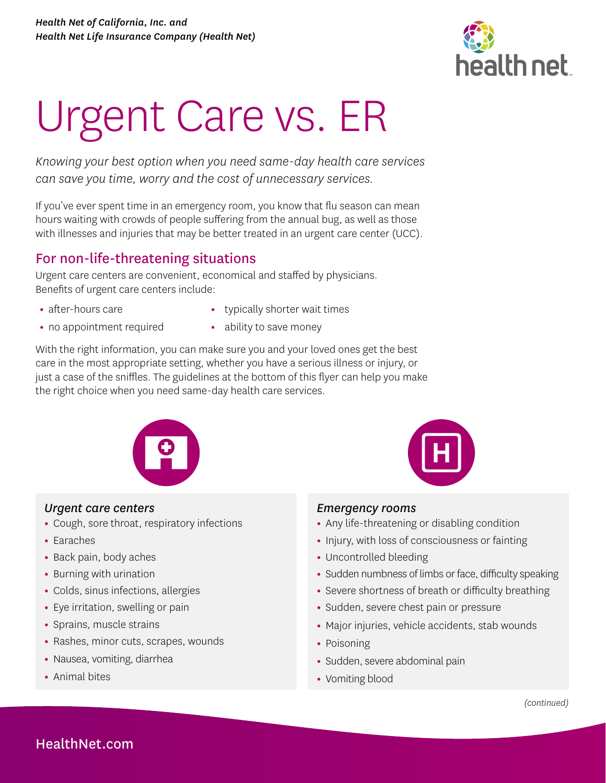

# Urgent Care vs. ER

*Knowing your best option when you need same-day health care services can save you time, worry and the cost of unnecessary services.* 

If you've ever spent time in an emergency room, you know that flu season can mean hours waiting with crowds of people suffering from the annual bug, as well as those with illnesses and injuries that may be better treated in an urgent care center (UCC).

## For non-life-threatening situations

Urgent care centers are convenient, economical and staffed by physicians. Benefits of urgent care centers include:

**•** after-hours care

- **•** typically shorter wait times
- **•** no appointment required
- **•** ability to save money

With the right information, you can make sure you and your loved ones get the best care in the most appropriate setting, whether you have a serious illness or injury, or just a case of the sniffles. The guidelines at the bottom of this flyer can help you make the right choice when you need same-day health care services.



#### *Urgent care centers*

- **•** Cough, sore throat, respiratory infections
- **•** Earaches
- **•** Back pain, body aches
- **•** Burning with urination
- **•** Colds, sinus infections, allergies
- **•** Eye irritation, swelling or pain
- **•** Sprains, muscle strains
- **•** Rashes, minor cuts, scrapes, wounds
- **•** Nausea, vomiting, diarrhea
- **•** Animal bites



#### *Emergency rooms*

- **•** Any life-threatening or disabling condition
- **•** Injury, with loss of consciousness or fainting
- **•** Uncontrolled bleeding
- **•** Sudden numbness of limbs or face, difficulty speaking
- **•** Severe shortness of breath or difficulty breathing
- **•** Sudden, severe chest pain or pressure
- **•** Major injuries, vehicle accidents, stab wounds
- **•** Poisoning
- **•** Sudden, severe abdominal pain
- **•** Vomiting blood

### [HealthNet.com](http://HealthNet.com)